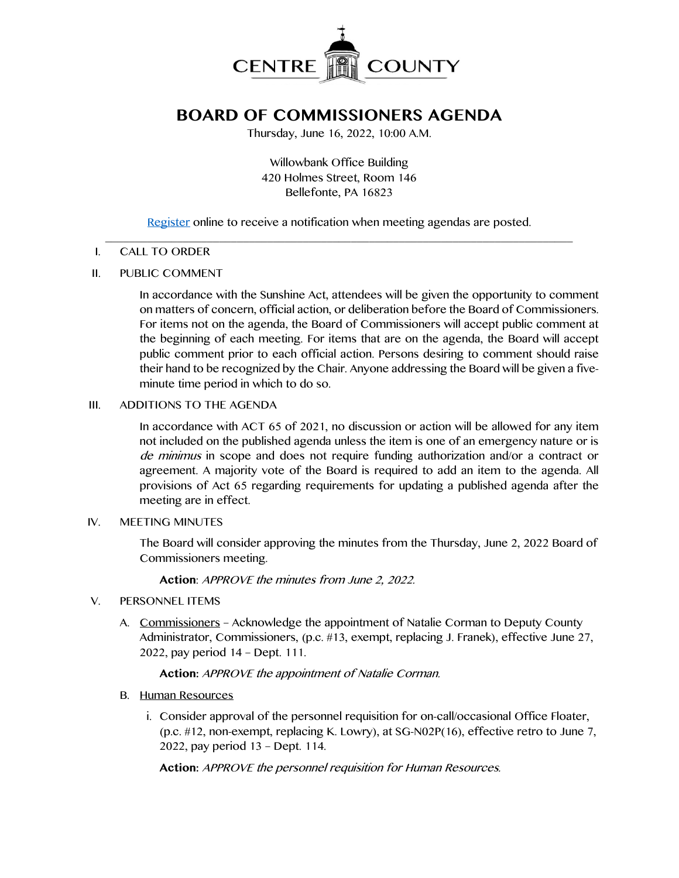

# **BOARD OF COMMISSIONERS AGENDA**

Thursday, June 16, 2022, 10:00 A.M.

Willowbank Office Building 420 Holmes Street, Room 146 Bellefonte, PA 16823

[Register](http://www.centrecountypa.gov/AgendaCenter) online to receive a notification when meeting agendas are posted.

#### $\overline{\phantom{a}}$  , and the contribution of the contribution of the contribution of the contribution of the contribution of the contribution of the contribution of the contribution of the contribution of the contribution of the I. CALL TO ORDER

### II. PUBLIC COMMENT

In accordance with the Sunshine Act, attendees will be given the opportunity to comment on matters of concern, official action, or deliberation before the Board of Commissioners. For items not on the agenda, the Board of Commissioners will accept public comment at the beginning of each meeting. For items that are on the agenda, the Board will accept public comment prior to each official action. Persons desiring to comment should raise their hand to be recognized by the Chair. Anyone addressing the Board will be given a fiveminute time period in which to do so.

### III. ADDITIONS TO THE AGENDA

In accordance with ACT 65 of 2021, no discussion or action will be allowed for any item not included on the published agenda unless the item is one of an emergency nature or is de minimus in scope and does not require funding authorization and/or a contract or agreement. A majority vote of the Board is required to add an item to the agenda. All provisions of Act 65 regarding requirements for updating a published agenda after the meeting are in effect.

#### IV. MEETING MINUTES

The Board will consider approving the minutes from the Thursday, June 2, 2022 Board of Commissioners meeting.

**Action**: APPROVE the minutes from June 2, 2022.

#### V. PERSONNEL ITEMS

A. Commissioners – Acknowledge the appointment of Natalie Corman to Deputy County Administrator, Commissioners, (p.c. #13, exempt, replacing J. Franek), effective June 27, 2022, pay period 14 – Dept. 111.

#### **Action:** APPROVE the appointment of Natalie Corman.

#### B. Human Resources

i. Consider approval of the personnel requisition for on-call/occasional Office Floater, (p.c. #12, non-exempt, replacing K. Lowry), at SG-N02P(16), effective retro to June 7, 2022, pay period 13 – Dept. 114.

**Action:** APPROVE the personnel requisition for Human Resources.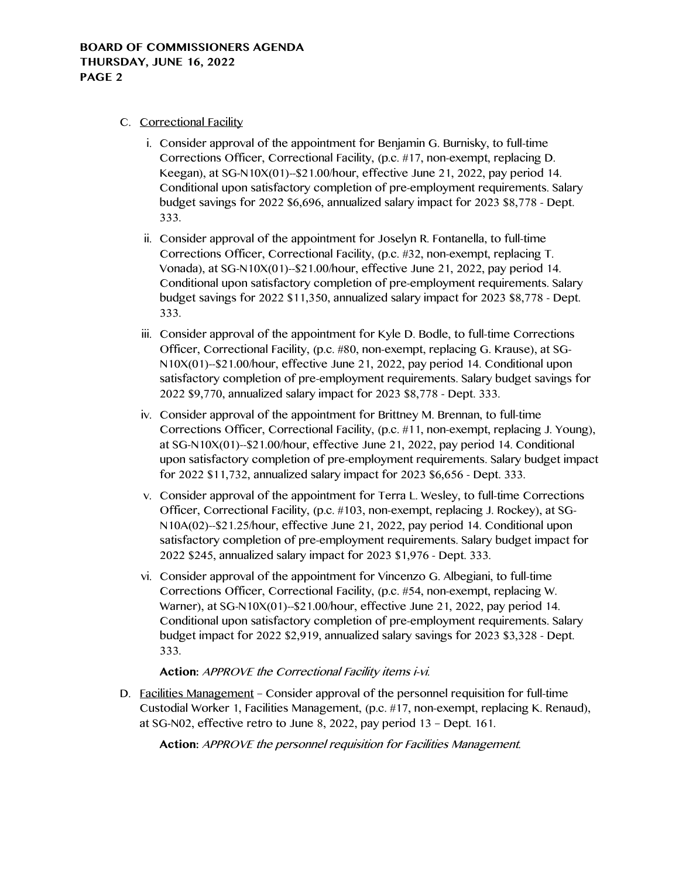- C. Correctional Facility
	- i. Consider approval of the appointment for Benjamin G. Burnisky, to full-time Corrections Officer, Correctional Facility, (p.c. #17, non-exempt, replacing D. Keegan), at SG-N10X(01)--\$21.00/hour, effective June 21, 2022, pay period 14. Conditional upon satisfactory completion of pre-employment requirements. Salary budget savings for 2022 \$6,696, annualized salary impact for 2023 \$8,778 - Dept. 333.
	- ii. Consider approval of the appointment for Joselyn R. Fontanella, to full-time Corrections Officer, Correctional Facility, (p.c. #32, non-exempt, replacing T. Vonada), at SG-N10X(01)--\$21.00/hour, effective June 21, 2022, pay period 14. Conditional upon satisfactory completion of pre-employment requirements. Salary budget savings for 2022 \$11,350, annualized salary impact for 2023 \$8,778 - Dept. 333.
	- iii. Consider approval of the appointment for Kyle D. Bodle, to full-time Corrections Officer, Correctional Facility, (p.c. #80, non-exempt, replacing G. Krause), at SG-N10X(01)--\$21.00/hour, effective June 21, 2022, pay period 14. Conditional upon satisfactory completion of pre-employment requirements. Salary budget savings for 2022 \$9,770, annualized salary impact for 2023 \$8,778 - Dept. 333.
	- iv. Consider approval of the appointment for Brittney M. Brennan, to full-time Corrections Officer, Correctional Facility, (p.c. #11, non-exempt, replacing J. Young), at SG-N10X(01)--\$21.00/hour, effective June 21, 2022, pay period 14. Conditional upon satisfactory completion of pre-employment requirements. Salary budget impact for 2022 \$11,732, annualized salary impact for 2023 \$6,656 - Dept. 333.
	- v. Consider approval of the appointment for Terra L. Wesley, to full-time Corrections Officer, Correctional Facility, (p.c. #103, non-exempt, replacing J. Rockey), at SG-N10A(02)--\$21.25/hour, effective June 21, 2022, pay period 14. Conditional upon satisfactory completion of pre-employment requirements. Salary budget impact for 2022 \$245, annualized salary impact for 2023 \$1,976 - Dept. 333.
	- vi. Consider approval of the appointment for Vincenzo G. Albegiani, to full-time Corrections Officer, Correctional Facility, (p.c. #54, non-exempt, replacing W. Warner), at SG-N10X(01)--\$21.00/hour, effective June 21, 2022, pay period 14. Conditional upon satisfactory completion of pre-employment requirements. Salary budget impact for 2022 \$2,919, annualized salary savings for 2023 \$3,328 - Dept. 333.

# **Action:** APPROVE the Correctional Facility items i-vi.

D. Facilities Management – Consider approval of the personnel requisition for full-time Custodial Worker 1, Facilities Management, (p.c. #17, non-exempt, replacing K. Renaud), at SG-N02, effective retro to June 8, 2022, pay period 13 – Dept. 161.

**Action:** APPROVE the personnel requisition for Facilities Management.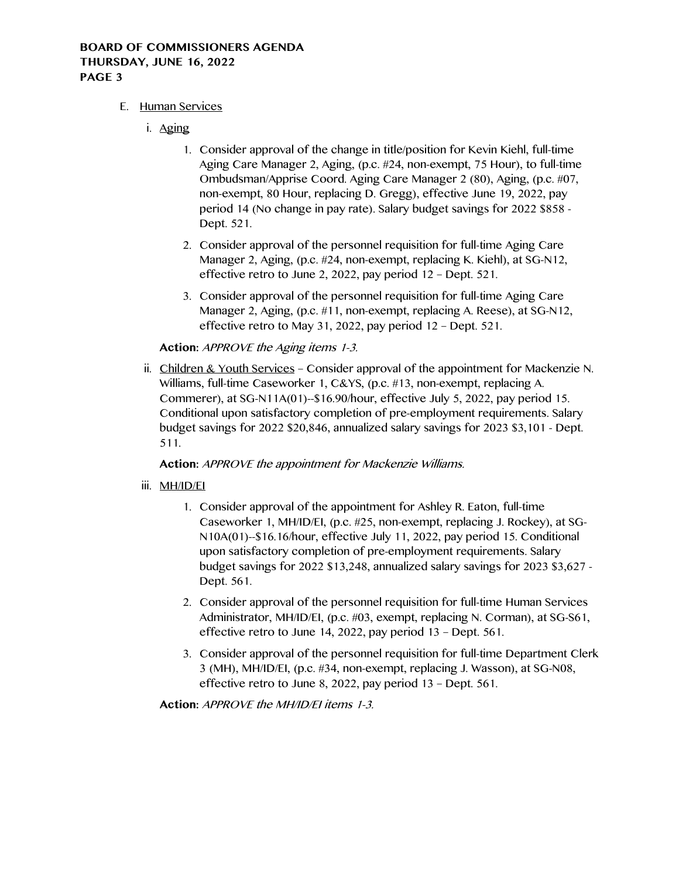## **BOARD OF COMMISSIONERS AGENDA THURSDAY, JUNE 16, 2022 PAGE 3**

## E. Human Services

- i. Aging
	- 1. Consider approval of the change in title/position for Kevin Kiehl, full-time Aging Care Manager 2, Aging, (p.c. #24, non-exempt, 75 Hour), to full-time Ombudsman/Apprise Coord. Aging Care Manager 2 (80), Aging, (p.c. #07, non-exempt, 80 Hour, replacing D. Gregg), effective June 19, 2022, pay period 14 (No change in pay rate). Salary budget savings for 2022 \$858 - Dept. 521.
	- 2. Consider approval of the personnel requisition for full-time Aging Care Manager 2, Aging, (p.c. #24, non-exempt, replacing K. Kiehl), at SG-N12, effective retro to June 2, 2022, pay period 12 – Dept. 521.
	- 3. Consider approval of the personnel requisition for full-time Aging Care Manager 2, Aging, (p.c. #11, non-exempt, replacing A. Reese), at SG-N12, effective retro to May 31, 2022, pay period 12 – Dept. 521.

# **Action:** APPROVE the Aging items 1-3.

ii. Children & Youth Services – Consider approval of the appointment for Mackenzie N. Williams, full-time Caseworker 1, C&YS, (p.c. #13, non-exempt, replacing A. Commerer), at SG-N11A(01)--\$16.90/hour, effective July 5, 2022, pay period 15. Conditional upon satisfactory completion of pre-employment requirements. Salary budget savings for 2022 \$20,846, annualized salary savings for 2023 \$3,101 - Dept. 511.

## **Action:** APPROVE the appointment for Mackenzie Williams.

## iii. MH/ID/EI

- 1. Consider approval of the appointment for Ashley R. Eaton, full-time Caseworker 1, MH/ID/EI, (p.c. #25, non-exempt, replacing J. Rockey), at SG-N10A(01)--\$16.16/hour, effective July 11, 2022, pay period 15. Conditional upon satisfactory completion of pre-employment requirements. Salary budget savings for 2022 \$13,248, annualized salary savings for 2023 \$3,627 - Dept. 561.
- 2. Consider approval of the personnel requisition for full-time Human Services Administrator, MH/ID/EI, (p.c. #03, exempt, replacing N. Corman), at SG-S61, effective retro to June 14, 2022, pay period 13 – Dept. 561.
- 3. Consider approval of the personnel requisition for full-time Department Clerk 3 (MH), MH/ID/EI, (p.c. #34, non-exempt, replacing J. Wasson), at SG-N08, effective retro to June 8, 2022, pay period 13 – Dept. 561.

**Action:** APPROVE the MH/ID/EI items 1-3.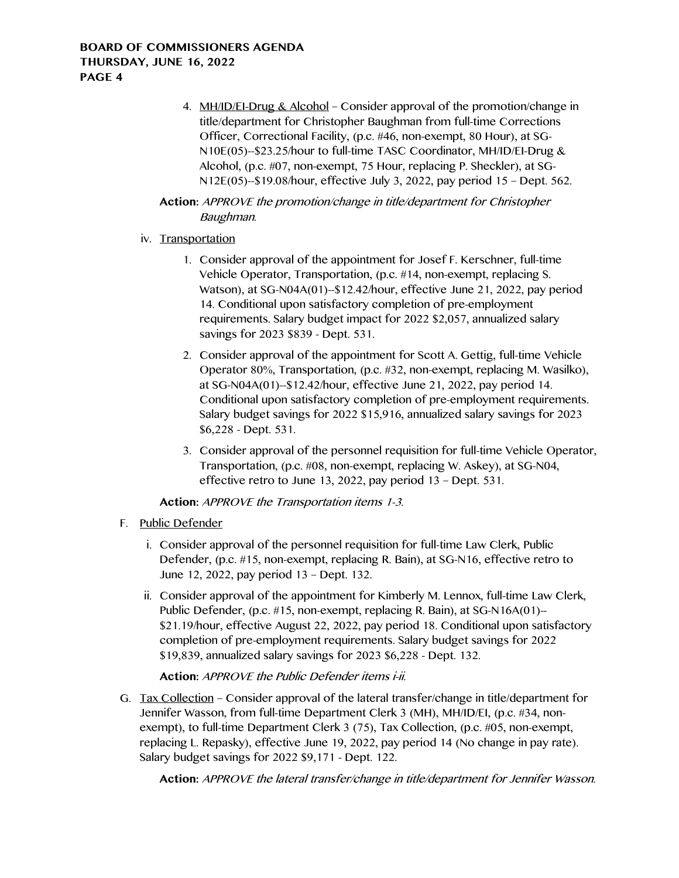4. MH/ID/EI-Drug & Alcohol – Consider approval of the promotion/change in title/department for Christopher Baughman from full-time Corrections Officer, Correctional Facility, (p.c. #46, non-exempt, 80 Hour), at SG-N10E(05)--\$23.25/hour to full-time TASC Coordinator, MH/ID/EI-Drug & Alcohol, (p.c. #07, non-exempt, 75 Hour, replacing P. Sheckler), at SG-N12E(05)--\$19.08/hour, effective July 3, 2022, pay period 15 – Dept. 562.

# **Action:** APPROVE the promotion/change in title/department for Christopher Baughman.

# iv. Transportation

- 1. Consider approval of the appointment for Josef F. Kerschner, full-time Vehicle Operator, Transportation, (p.c. #14, non-exempt, replacing S. Watson), at SG-N04A(01)--\$12.42/hour, effective June 21, 2022, pay period 14. Conditional upon satisfactory completion of pre-employment requirements. Salary budget impact for 2022 \$2,057, annualized salary savings for 2023 \$839 - Dept. 531.
- 2. Consider approval of the appointment for Scott A. Gettig, full-time Vehicle Operator 80%, Transportation, (p.c. #32, non-exempt, replacing M. Wasilko), at SG-N04A(01)--\$12.42/hour, effective June 21, 2022, pay period 14. Conditional upon satisfactory completion of pre-employment requirements. Salary budget savings for 2022 \$15,916, annualized salary savings for 2023 \$6,228 - Dept. 531.
- 3. Consider approval of the personnel requisition for full-time Vehicle Operator, Transportation, (p.c. #08, non-exempt, replacing W. Askey), at SG-N04, effective retro to June 13, 2022, pay period 13 – Dept. 531.

**Action:** APPROVE the Transportation items 1-3.

- F. Public Defender
	- i. Consider approval of the personnel requisition for full-time Law Clerk, Public Defender, (p.c. #15, non-exempt, replacing R. Bain), at SG-N16, effective retro to June 12, 2022, pay period 13 – Dept. 132.
	- ii. Consider approval of the appointment for Kimberly M. Lennox, full-time Law Clerk, Public Defender, (p.c. #15, non-exempt, replacing R. Bain), at SG-N16A(01)-- \$21.19/hour, effective August 22, 2022, pay period 18. Conditional upon satisfactory completion of pre-employment requirements. Salary budget savings for 2022 \$19,839, annualized salary savings for 2023 \$6,228 - Dept. 132.

# **Action:** APPROVE the Public Defender items i-ii.

G. Tax Collection – Consider approval of the lateral transfer/change in title/department for Jennifer Wasson, from full-time Department Clerk 3 (MH), MH/ID/EI, (p.c. #34, nonexempt), to full-time Department Clerk 3 (75), Tax Collection, (p.c. #05, non-exempt, replacing L. Repasky), effective June 19, 2022, pay period 14 (No change in pay rate). Salary budget savings for 2022 \$9,171 - Dept. 122.

**Action:** APPROVE the lateral transfer/change in title/department for Jennifer Wasson.